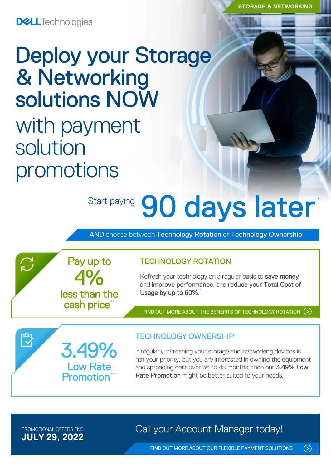**DELL**Technologies

# Deploy your Storage & Networking solutions NOW

with payment solution promotions

3.49%

Low Rate **Promotion**\*

4%

Pay up to

less than the cash price\*

# Start paying 90 days later

AND choose between Technology Rotation or Technology Ownership

### TECHNOLOGY ROTATION

Refresh your technology on a regular basis to save money and improve performance, and reduce your Total Cost of Usage by up to 60%.<sup>1</sup>

[FIND OUT MORE ABOUT THE BENEFITS OF TECHNOLOGY ROTATION](https://www.delltechnologies.com/en-nz/payment-solutions/leasing.htm#tab0=0)

# TECHNOLOGY OWNERSHIP

If regularly refreshing your storage and networking devices is not your priority, but you are interested in owning the equipment and spreading cost over 36 to 48 months, then our 3.49% Low Rate Promotion might be better suited to your needs.

**JULY 29, 2022**

 $\sum$ 

 $\bar{\mathbb{C}}$ 

PROMOTIONAL OFFERS END **Call your Account Manager today!** 

 $\odot$